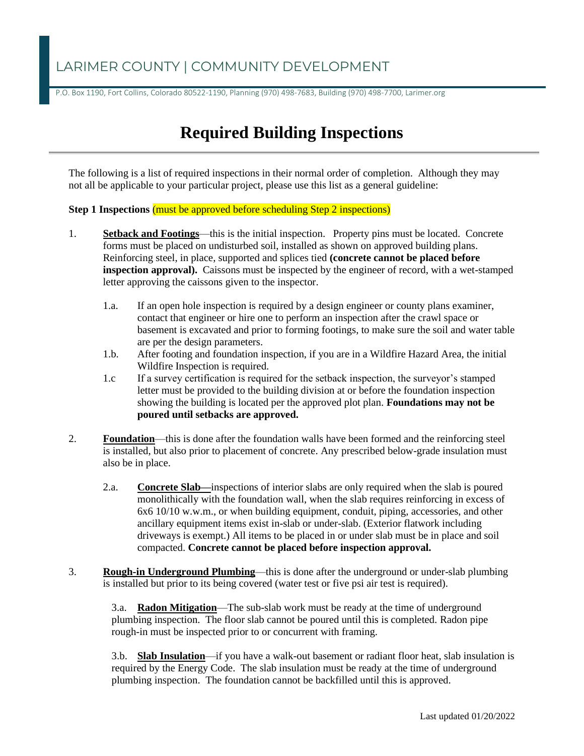### LARIMER COUNTY | COMMUNITY DEVELOPMENT

P.O. Box 1190, Fort Collins, Colorado 80522-1190, Planning (970) 498-7683, Building (970) 498-7700, Larimer.org

# **Required Building Inspections**

The following is a list of required inspections in their normal order of completion. Although they may not all be applicable to your particular project, please use this list as a general guideline:

**Step 1 Inspections** (must be approved before scheduling Step 2 inspections)

- 1. **Setback and Footings**—this is the initial inspection. Property pins must be located. Concrete forms must be placed on undisturbed soil, installed as shown on approved building plans. Reinforcing steel, in place, supported and splices tied **(concrete cannot be placed before inspection approval).** Caissons must be inspected by the engineer of record, with a wet-stamped letter approving the caissons given to the inspector.
	- 1.a. If an open hole inspection is required by a design engineer or county plans examiner, contact that engineer or hire one to perform an inspection after the crawl space or basement is excavated and prior to forming footings, to make sure the soil and water table are per the design parameters.
	- 1.b. After footing and foundation inspection, if you are in a Wildfire Hazard Area, the initial Wildfire Inspection is required.
	- 1.c If a survey certification is required for the setback inspection, the surveyor's stamped letter must be provided to the building division at or before the foundation inspection showing the building is located per the approved plot plan. **Foundations may not be poured until setbacks are approved.**
- 2. **Foundation**—this is done after the foundation walls have been formed and the reinforcing steel is installed, but also prior to placement of concrete. Any prescribed below-grade insulation must also be in place.
	- 2.a. **Concrete Slab—**inspections of interior slabs are only required when the slab is poured monolithically with the foundation wall, when the slab requires reinforcing in excess of 6x6 10/10 w.w.m., or when building equipment, conduit, piping, accessories, and other ancillary equipment items exist in-slab or under-slab. (Exterior flatwork including driveways is exempt.) All items to be placed in or under slab must be in place and soil compacted. **Concrete cannot be placed before inspection approval.**
- 3. **Rough-in Underground Plumbing**—this is done after the underground or under-slab plumbing is installed but prior to its being covered (water test or five psi air test is required).

3.a. **Radon Mitigation**—The sub-slab work must be ready at the time of underground plumbing inspection. The floor slab cannot be poured until this is completed. Radon pipe rough-in must be inspected prior to or concurrent with framing.

3.b. **Slab Insulation**—if you have a walk-out basement or radiant floor heat, slab insulation is required by the Energy Code. The slab insulation must be ready at the time of underground plumbing inspection. The foundation cannot be backfilled until this is approved.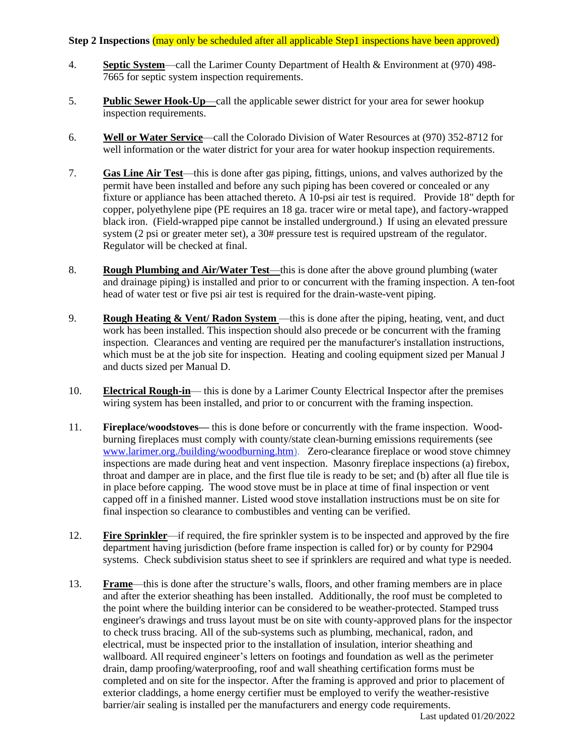#### **Step 2 Inspections (may only be scheduled after all applicable Step1 inspections have been approved)**

- 4. **Septic System**—call the Larimer County Department of Health & Environment at (970) 498- 7665 for septic system inspection requirements.
- 5. **Public Sewer Hook-Up**—call the applicable sewer district for your area for sewer hookup inspection requirements.
- 6. **Well or Water Service**—call the Colorado Division of Water Resources at (970) 352-8712 for well information or the water district for your area for water hookup inspection requirements.
- 7. **Gas Line Air Test**—this is done after gas piping, fittings, unions, and valves authorized by the permit have been installed and before any such piping has been covered or concealed or any fixture or appliance has been attached thereto. A 10-psi air test is required. Provide 18" depth for copper, polyethylene pipe (PE requires an 18 ga. tracer wire or metal tape), and factory-wrapped black iron. (Field-wrapped pipe cannot be installed underground.) If using an elevated pressure system (2 psi or greater meter set), a 30# pressure test is required upstream of the regulator. Regulator will be checked at final.
- 8. **Rough Plumbing and Air/Water Test**—this is done after the above ground plumbing (water and drainage piping) is installed and prior to or concurrent with the framing inspection. A ten-foot head of water test or five psi air test is required for the drain-waste-vent piping.
- 9. **Rough Heating & Vent/ Radon System** —this is done after the piping, heating, vent, and duct work has been installed. This inspection should also precede or be concurrent with the framing inspection. Clearances and venting are required per the manufacturer's installation instructions, which must be at the job site for inspection. Heating and cooling equipment sized per Manual J and ducts sized per Manual D.
- 10. **Electrical Rough-in** this is done by a Larimer County Electrical Inspector after the premises wiring system has been installed, and prior to or concurrent with the framing inspection.
- 11. **Fireplace/woodstoves—** this is done before or concurrently with the frame inspection. Woodburning fireplaces must comply with county/state clean-burning emissions requirements (see [www.larimer.org./building/woodburning.htm\)](http://www.larimer.org./building/woodburning.htm). Zero-clearance fireplace or wood stove chimney inspections are made during heat and vent inspection. Masonry fireplace inspections (a) firebox, throat and damper are in place, and the first flue tile is ready to be set; and (b) after all flue tile is in place before capping. The wood stove must be in place at time of final inspection or vent capped off in a finished manner. Listed wood stove installation instructions must be on site for final inspection so clearance to combustibles and venting can be verified.
- 12. **Fire Sprinkler**—if required, the fire sprinkler system is to be inspected and approved by the fire department having jurisdiction (before frame inspection is called for) or by county for P2904 systems. Check subdivision status sheet to see if sprinklers are required and what type is needed.
- 13. **Frame**—this is done after the structure's walls, floors, and other framing members are in place and after the exterior sheathing has been installed. Additionally, the roof must be completed to the point where the building interior can be considered to be weather-protected. Stamped truss engineer's drawings and truss layout must be on site with county-approved plans for the inspector to check truss bracing. All of the sub-systems such as plumbing, mechanical, radon, and electrical, must be inspected prior to the installation of insulation, interior sheathing and wallboard. All required engineer's letters on footings and foundation as well as the perimeter drain, damp proofing/waterproofing, roof and wall sheathing certification forms must be completed and on site for the inspector. After the framing is approved and prior to placement of exterior claddings, a home energy certifier must be employed to verify the weather-resistive barrier/air sealing is installed per the manufacturers and energy code requirements.

Last updated 01/20/2022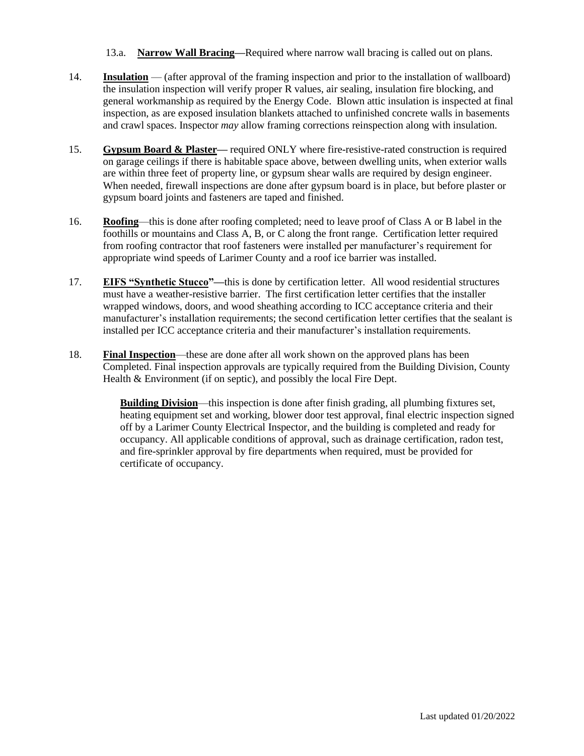13.a. **Narrow Wall Bracing—**Required where narrow wall bracing is called out on plans.

- 14. **Insulation** (after approval of the framing inspection and prior to the installation of wallboard) the insulation inspection will verify proper R values, air sealing, insulation fire blocking, and general workmanship as required by the Energy Code. Blown attic insulation is inspected at final inspection, as are exposed insulation blankets attached to unfinished concrete walls in basements and crawl spaces. Inspector *may* allow framing corrections reinspection along with insulation.
- 15. **Gypsum Board & Plaster—** required ONLY where fire-resistive-rated construction is required on garage ceilings if there is habitable space above, between dwelling units, when exterior walls are within three feet of property line, or gypsum shear walls are required by design engineer. When needed, firewall inspections are done after gypsum board is in place, but before plaster or gypsum board joints and fasteners are taped and finished.
- 16. **Roofing**—this is done after roofing completed; need to leave proof of Class A or B label in the foothills or mountains and Class A, B, or C along the front range. Certification letter required from roofing contractor that roof fasteners were installed per manufacturer's requirement for appropriate wind speeds of Larimer County and a roof ice barrier was installed.
- 17. **EIFS "Synthetic Stucco"—**this is done by certification letter.All wood residential structures must have a weather-resistive barrier. The first certification letter certifies that the installer wrapped windows, doors, and wood sheathing according to ICC acceptance criteria and their manufacturer's installation requirements; the second certification letter certifies that the sealant is installed per ICC acceptance criteria and their manufacturer's installation requirements.
- 18. **Final Inspection**—these are done after all work shown on the approved plans has been Completed. Final inspection approvals are typically required from the Building Division, County Health & Environment (if on septic), and possibly the local Fire Dept.

**Building Division**—this inspection is done after finish grading, all plumbing fixtures set, heating equipment set and working, blower door test approval, final electric inspection signed off by a Larimer County Electrical Inspector, and the building is completed and ready for occupancy. All applicable conditions of approval, such as drainage certification, radon test, and fire-sprinkler approval by fire departments when required, must be provided for certificate of occupancy.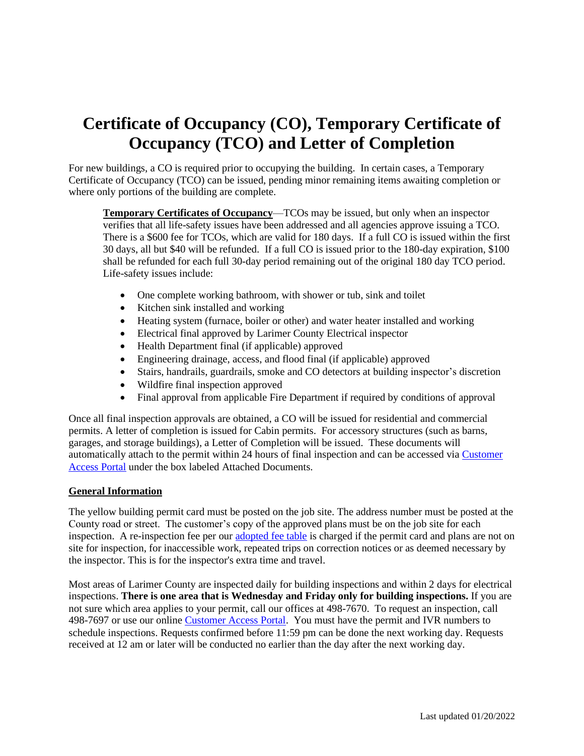# **Certificate of Occupancy (CO), Temporary Certificate of Occupancy (TCO) and Letter of Completion**

For new buildings, a CO is required prior to occupying the building. In certain cases, a Temporary Certificate of Occupancy (TCO) can be issued, pending minor remaining items awaiting completion or where only portions of the building are complete.

**Temporary Certificates of Occupancy**—TCOs may be issued, but only when an inspector verifies that all life-safety issues have been addressed and all agencies approve issuing a TCO. There is a \$600 fee for TCOs, which are valid for 180 days. If a full CO is issued within the first 30 days, all but \$40 will be refunded. If a full CO is issued prior to the 180-day expiration, \$100 shall be refunded for each full 30-day period remaining out of the original 180 day TCO period. Life-safety issues include:

- One complete working bathroom, with shower or tub, sink and toilet
- Kitchen sink installed and working
- Heating system (furnace, boiler or other) and water heater installed and working
- Electrical final approved by Larimer County Electrical inspector
- Health Department final (if applicable) approved
- Engineering drainage, access, and flood final (if applicable) approved
- Stairs, handrails, guardrails, smoke and CO detectors at building inspector's discretion
- Wildfire final inspection approved
- Final approval from applicable Fire Department if required by conditions of approval

Once all final inspection approvals are obtained, a CO will be issued for residential and commercial permits. A letter of completion is issued for Cabin permits. For accessory structures (such as barns, garages, and storage buildings), a Letter of Completion will be issued. These documents will automatically attach to the permit within 24 hours of final inspection and can be accessed via [Customer](https://onlineportal.larimer.org/Public/Main)  [Access Portal](https://onlineportal.larimer.org/Public/Main) under the box labeled Attached Documents.

#### **General Information**

The yellow building permit card must be posted on the job site. The address number must be posted at the County road or street. The customer's copy of the approved plans must be on the job site for each inspection. A re-inspection fee per ou[r adopted fee table](http://www.larimer.org/building/BuildingPermitFees2016.pdf) is charged if the permit card and plans are not on site for inspection, for inaccessible work, repeated trips on correction notices or as deemed necessary by the inspector. This is for the inspector's extra time and travel.

Most areas of Larimer County are inspected daily for building inspections and within 2 days for electrical inspections. **There is one area that is Wednesday and Friday only for building inspections.** If you are not sure which area applies to your permit, call our offices at 498-7670. To request an inspection, call 498-7697 or use our online [Customer Access Portal.](https://onlineportal.larimer.org/Public/Main) You must have the permit and IVR numbers to schedule inspections. Requests confirmed before 11:59 pm can be done the next working day. Requests received at 12 am or later will be conducted no earlier than the day after the next working day.